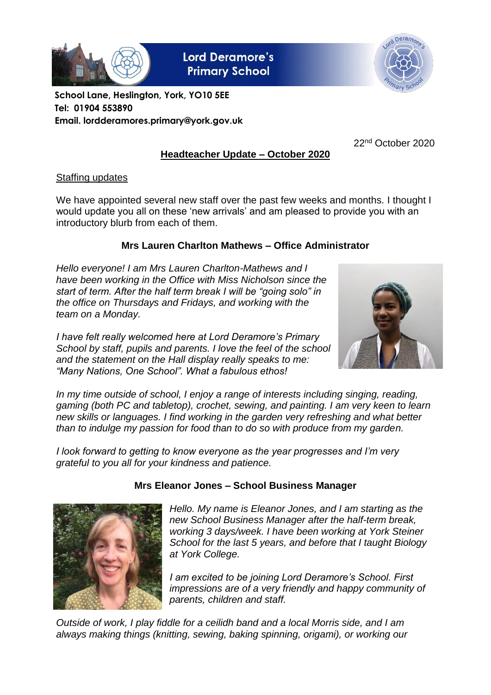

**Lord Deramore's Primary School** 



**School Lane, Heslington, York, YO10 5EE Tel: 01904 553890 Email. lordderamores.primary@york.gov.uk**

22nd October 2020

# **Headteacher Update – October 2020**

## Staffing updates

We have appointed several new staff over the past few weeks and months. I thought I would update you all on these 'new arrivals' and am pleased to provide you with an introductory blurb from each of them.

### **Mrs Lauren Charlton Mathews – Office Administrator**

*Hello everyone! I am Mrs Lauren Charlton-Mathews and I have been working in the Office with Miss Nicholson since the start of term. After the half term break I will be "going solo" in the office on Thursdays and Fridays, and working with the team on a Monday.*

*I have felt really welcomed here at Lord Deramore's Primary School by staff, pupils and parents. I love the feel of the school and the statement on the Hall display really speaks to me: "Many Nations, One School". What a fabulous ethos!*



*In my time outside of school, I enjoy a range of interests including singing, reading, gaming (both PC and tabletop), crochet, sewing, and painting. I am very keen to learn new skills or languages. I find working in the garden very refreshing and what better than to indulge my passion for food than to do so with produce from my garden.*

*I look forward to getting to know everyone as the year progresses and I'm very grateful to you all for your kindness and patience.*



### **Mrs Eleanor Jones – School Business Manager**

*Hello. My name is Eleanor Jones, and I am starting as the new School Business Manager after the half-term break, working 3 days/week. I have been working at York Steiner School for the last 5 years, and before that I taught Biology at York College.*

*I am excited to be joining Lord Deramore's School. First impressions are of a very friendly and happy community of parents, children and staff.*

*Outside of work, I play fiddle for a ceilidh band and a local Morris side, and I am always making things (knitting, sewing, baking spinning, origami), or working our*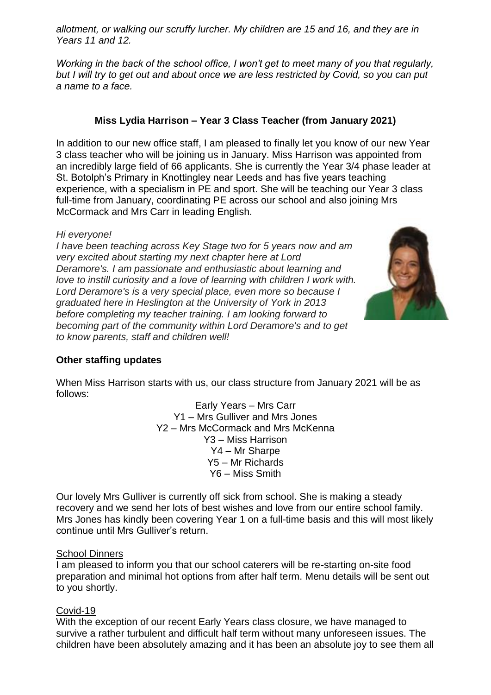*allotment, or walking our scruffy lurcher. My children are 15 and 16, and they are in Years 11 and 12.*

*Working in the back of the school office, I won't get to meet many of you that regularly, but I will try to get out and about once we are less restricted by Covid, so you can put a name to a face.*

## **Miss Lydia Harrison – Year 3 Class Teacher (from January 2021)**

In addition to our new office staff, I am pleased to finally let you know of our new Year 3 class teacher who will be joining us in January. Miss Harrison was appointed from an incredibly large field of 66 applicants. She is currently the Year 3/4 phase leader at St. Botolph's Primary in Knottingley near Leeds and has five years teaching experience, with a specialism in PE and sport. She will be teaching our Year 3 class full-time from January, coordinating PE across our school and also joining Mrs McCormack and Mrs Carr in leading English.

### *Hi everyone!*

*I have been teaching across Key Stage two for 5 years now and am very excited about starting my next chapter here at Lord Deramore's. I am passionate and enthusiastic about learning and love to instill curiosity and a love of learning with children I work with. Lord Deramore's is a very special place, even more so because I graduated here in Heslington at the University of York in 2013 before completing my teacher training. I am looking forward to becoming part of the community within Lord Deramore's and to get to know parents, staff and children well!*



## **Other staffing updates**

When Miss Harrison starts with us, our class structure from January 2021 will be as follows:

Early Years – Mrs Carr Y1 – Mrs Gulliver and Mrs Jones Y2 – Mrs McCormack and Mrs McKenna Y3 – Miss Harrison Y4 – Mr Sharpe Y5 – Mr Richards Y6 – Miss Smith

Our lovely Mrs Gulliver is currently off sick from school. She is making a steady recovery and we send her lots of best wishes and love from our entire school family. Mrs Jones has kindly been covering Year 1 on a full-time basis and this will most likely continue until Mrs Gulliver's return.

### School Dinners

I am pleased to inform you that our school caterers will be re-starting on-site food preparation and minimal hot options from after half term. Menu details will be sent out to you shortly.

### Covid-19

With the exception of our recent Early Years class closure, we have managed to survive a rather turbulent and difficult half term without many unforeseen issues. The children have been absolutely amazing and it has been an absolute joy to see them all